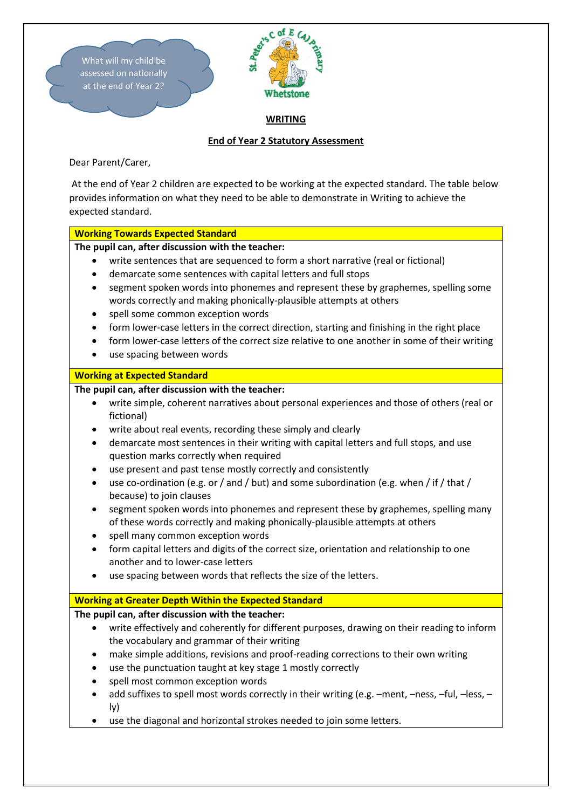

Dear Parent/Carer,

At the end of Year 2 children are expected to be working at the expected standard. The table below provides information on what they need to be able to demonstrate in Writing to achieve the expected standard.

## **Working Towards Expected Standard**

**The pupil can, after discussion with the teacher:** 

- write sentences that are sequenced to form a short narrative (real or fictional)
- demarcate some sentences with capital letters and full stops
- segment spoken words into phonemes and represent these by graphemes, spelling some words correctly and making phonically-plausible attempts at others
- spell some common exception words
- form lower-case letters in the correct direction, starting and finishing in the right place
- form lower-case letters of the correct size relative to one another in some of their writing
- use spacing between words

### **Working at Expected Standard**

## **The pupil can, after discussion with the teacher:**

- write simple, coherent narratives about personal experiences and those of others (real or fictional)
- write about real events, recording these simply and clearly
- demarcate most sentences in their writing with capital letters and full stops, and use question marks correctly when required
- use present and past tense mostly correctly and consistently
- use co-ordination (e.g. or / and / but) and some subordination (e.g. when / if / that / because) to join clauses
- segment spoken words into phonemes and represent these by graphemes, spelling many of these words correctly and making phonically-plausible attempts at others
- spell many common exception words
- form capital letters and digits of the correct size, orientation and relationship to one another and to lower-case letters
- use spacing between words that reflects the size of the letters.

### **Working at Greater Depth Within the Expected Standard**

# **The pupil can, after discussion with the teacher:**

- write effectively and coherently for different purposes, drawing on their reading to inform the vocabulary and grammar of their writing
- make simple additions, revisions and proof-reading corrections to their own writing
- use the punctuation taught at key stage 1 mostly correctly
- spell most common exception words
- add suffixes to spell most words correctly in their writing (e.g. –ment, –ness, –ful, –less, ly)
- use the diagonal and horizontal strokes needed to join some letters.